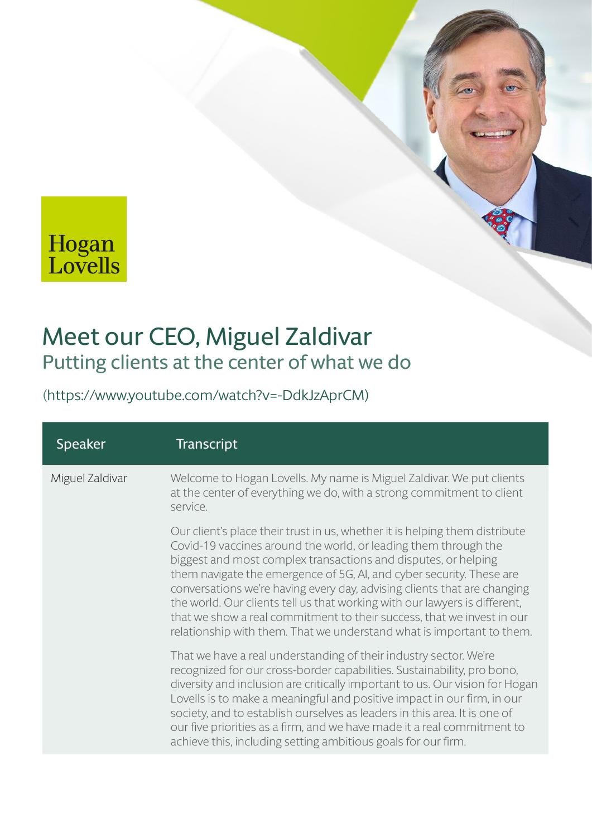## Hogan<br>Lovells

## Meet our CEO, Miguel Zaldivar Putting clients at the center of what we do

[\(https://www.youtube.com/watch?v=-DdkJzAprCM\)](https://www.youtube.com/watch?v=-DdkJzAprCM)

| <b>Speaker</b>  | <b>Transcript</b>                                                                                                                                                                                                                                                                                                                                                                                                                                                                                                                                                                                     |
|-----------------|-------------------------------------------------------------------------------------------------------------------------------------------------------------------------------------------------------------------------------------------------------------------------------------------------------------------------------------------------------------------------------------------------------------------------------------------------------------------------------------------------------------------------------------------------------------------------------------------------------|
| Miguel Zaldivar | Welcome to Hogan Lovells. My name is Miguel Zaldivar. We put clients<br>at the center of everything we do, with a strong commitment to client<br>service.                                                                                                                                                                                                                                                                                                                                                                                                                                             |
|                 | Our client's place their trust in us, whether it is helping them distribute<br>Covid-19 vaccines around the world, or leading them through the<br>biggest and most complex transactions and disputes, or helping<br>them navigate the emergence of 5G, AI, and cyber security. These are<br>conversations we're having every day, advising clients that are changing<br>the world. Our clients tell us that working with our lawyers is different,<br>that we show a real commitment to their success, that we invest in our<br>relationship with them. That we understand what is important to them. |
|                 | That we have a real understanding of their industry sector. We're<br>recognized for our cross-border capabilities. Sustainability, pro bono,<br>diversity and inclusion are critically important to us. Our vision for Hogan<br>Lovells is to make a meaningful and positive impact in our firm, in our<br>society, and to establish ourselves as leaders in this area. It is one of<br>our five priorities as a firm, and we have made it a real commitment to<br>achieve this, including setting ambitious goals for our firm.                                                                      |